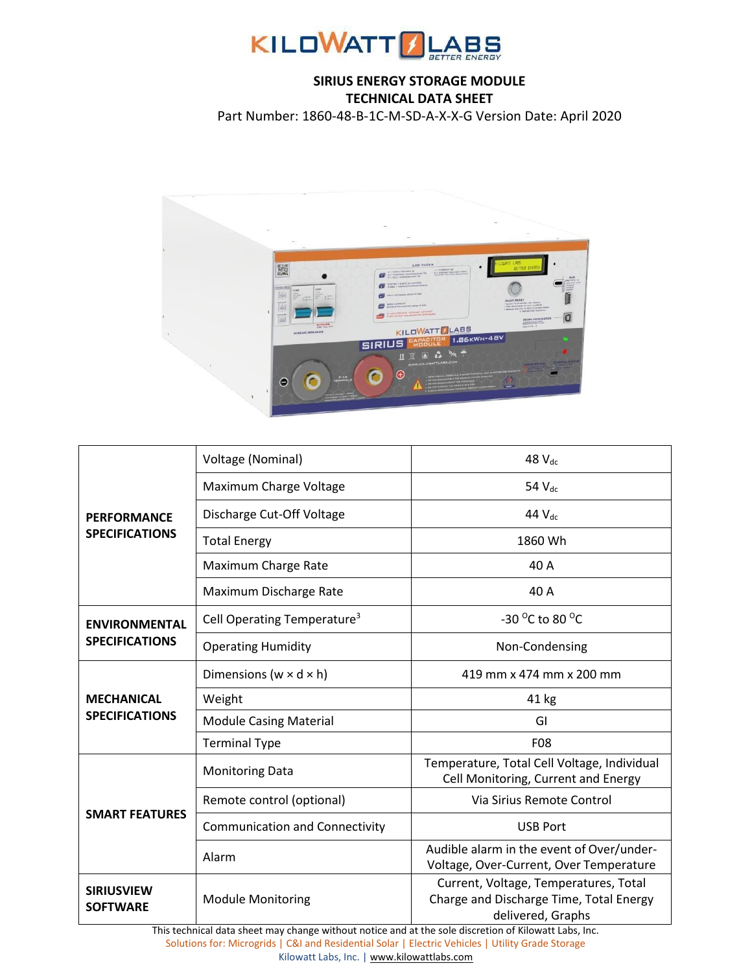

## **SIRIUS ENERGY STORAGE MODULE TECHNICAL DATA SHEET**

Part Number: 1860-48-B-1C-M-SD-A-X-X-G Version Date: April 2020



|                                               | Voltage (Nominal)                       | 48 V <sub>dc</sub>                                                                                    |
|-----------------------------------------------|-----------------------------------------|-------------------------------------------------------------------------------------------------------|
| <b>PERFORMANCE</b><br><b>SPECIFICATIONS</b>   | Maximum Charge Voltage                  | 54 V <sub>dc</sub>                                                                                    |
|                                               | Discharge Cut-Off Voltage               | 44 V <sub>dc</sub>                                                                                    |
|                                               | <b>Total Energy</b>                     | 1860 Wh                                                                                               |
|                                               | Maximum Charge Rate                     | 40 A                                                                                                  |
|                                               | Maximum Discharge Rate                  | 40 A                                                                                                  |
| <b>ENVIRONMENTAL</b><br><b>SPECIFICATIONS</b> | Cell Operating Temperature <sup>3</sup> | -30 °C to 80 °C                                                                                       |
|                                               | <b>Operating Humidity</b>               | Non-Condensing                                                                                        |
| <b>MECHANICAL</b><br><b>SPECIFICATIONS</b>    | Dimensions ( $w \times d \times h$ )    | 419 mm x 474 mm x 200 mm                                                                              |
|                                               | Weight                                  | 41 kg                                                                                                 |
|                                               | <b>Module Casing Material</b>           | GI                                                                                                    |
|                                               | <b>Terminal Type</b>                    | <b>F08</b>                                                                                            |
| <b>SMART FEATURES</b>                         | <b>Monitoring Data</b>                  | Temperature, Total Cell Voltage, Individual<br>Cell Monitoring, Current and Energy                    |
|                                               | Remote control (optional)               | Via Sirius Remote Control                                                                             |
|                                               | <b>Communication and Connectivity</b>   | <b>USB Port</b>                                                                                       |
|                                               | Alarm                                   | Audible alarm in the event of Over/under-<br>Voltage, Over-Current, Over Temperature                  |
| <b>SIRIUSVIEW</b><br><b>SOFTWARE</b>          | <b>Module Monitoring</b>                | Current, Voltage, Temperatures, Total<br>Charge and Discharge Time, Total Energy<br>delivered, Graphs |

This technical data sheet may change without notice and at the sole discretion of Kilowatt Labs, Inc. Solutions for: Microgrids | C&I and Residential Solar | Electric Vehicles | Utility Grade Storage Kilowatt Labs, Inc. [| www.kilowattlabs.com](http://www.kilowattlabs.com/)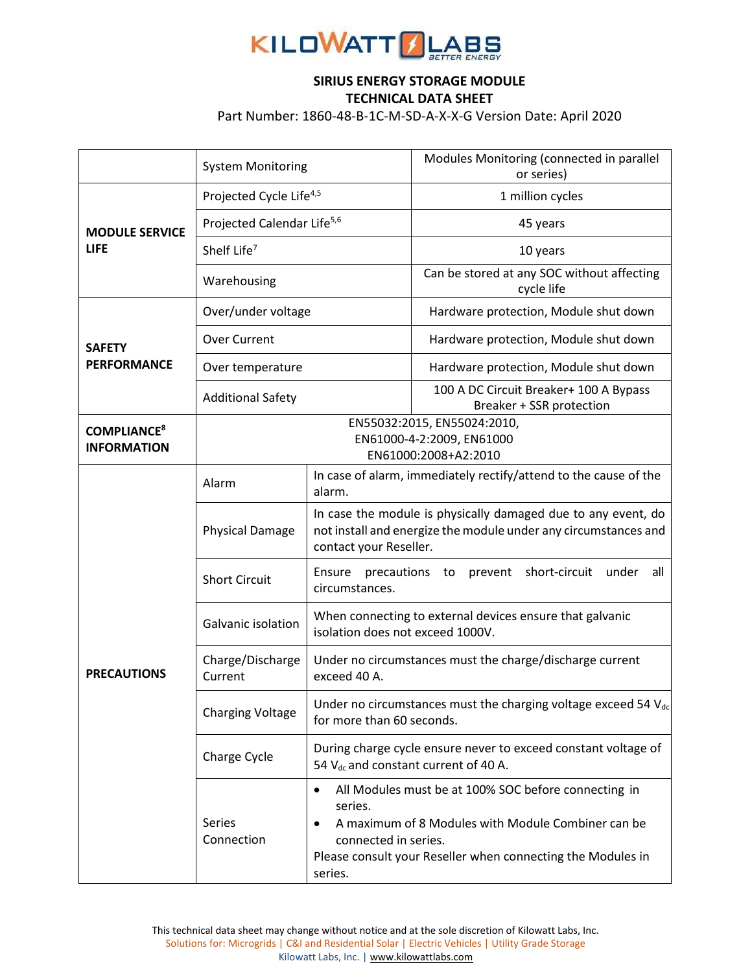

## **SIRIUS ENERGY STORAGE MODULE TECHNICAL DATA SHEET**

Part Number: 1860-48-B-1C-M-SD-A-X-X-G Version Date: April 2020

|                                                     | <b>System Monitoring</b>                                                         |                                                                                                                                                            | Modules Monitoring (connected in parallel<br>or series)                                                                                                                   |
|-----------------------------------------------------|----------------------------------------------------------------------------------|------------------------------------------------------------------------------------------------------------------------------------------------------------|---------------------------------------------------------------------------------------------------------------------------------------------------------------------------|
| <b>MODULE SERVICE</b><br><b>LIFE</b>                | Projected Cycle Life <sup>4,5</sup>                                              |                                                                                                                                                            | 1 million cycles                                                                                                                                                          |
|                                                     | Projected Calendar Life <sup>5,6</sup>                                           |                                                                                                                                                            | 45 years                                                                                                                                                                  |
|                                                     | Shelf Life <sup>7</sup>                                                          |                                                                                                                                                            | 10 years                                                                                                                                                                  |
|                                                     | Warehousing                                                                      |                                                                                                                                                            | Can be stored at any SOC without affecting<br>cycle life                                                                                                                  |
| <b>SAFETY</b><br><b>PERFORMANCE</b>                 | Over/under voltage                                                               |                                                                                                                                                            | Hardware protection, Module shut down                                                                                                                                     |
|                                                     | Over Current                                                                     |                                                                                                                                                            | Hardware protection, Module shut down                                                                                                                                     |
|                                                     | Over temperature                                                                 |                                                                                                                                                            | Hardware protection, Module shut down                                                                                                                                     |
|                                                     | <b>Additional Safety</b>                                                         |                                                                                                                                                            | 100 A DC Circuit Breaker+ 100 A Bypass<br>Breaker + SSR protection                                                                                                        |
| <b>COMPLIANCE<sup>8</sup></b><br><b>INFORMATION</b> | EN55032:2015, EN55024:2010,<br>EN61000-4-2:2009, EN61000<br>EN61000:2008+A2:2010 |                                                                                                                                                            |                                                                                                                                                                           |
| <b>PRECAUTIONS</b>                                  | Alarm                                                                            | alarm.                                                                                                                                                     | In case of alarm, immediately rectify/attend to the cause of the                                                                                                          |
|                                                     | <b>Physical Damage</b>                                                           | In case the module is physically damaged due to any event, do<br>not install and energize the module under any circumstances and<br>contact your Reseller. |                                                                                                                                                                           |
|                                                     | <b>Short Circuit</b>                                                             | Ensure<br>precautions to prevent<br>short-circuit<br>under<br>all<br>circumstances.                                                                        |                                                                                                                                                                           |
|                                                     | Galvanic isolation                                                               | When connecting to external devices ensure that galvanic<br>isolation does not exceed 1000V.                                                               |                                                                                                                                                                           |
|                                                     | Charge/Discharge<br>Current                                                      | Under no circumstances must the charge/discharge current<br>exceed 40 A.                                                                                   |                                                                                                                                                                           |
|                                                     | <b>Charging Voltage</b>                                                          | Under no circumstances must the charging voltage exceed 54 $V_{dc}$<br>for more than 60 seconds.                                                           |                                                                                                                                                                           |
|                                                     | Charge Cycle                                                                     | During charge cycle ensure never to exceed constant voltage of<br>54 V <sub>dc</sub> and constant current of 40 A.                                         |                                                                                                                                                                           |
|                                                     | Series<br>Connection                                                             | series.<br>connected in series.<br>series.                                                                                                                 | All Modules must be at 100% SOC before connecting in<br>A maximum of 8 Modules with Module Combiner can be<br>Please consult your Reseller when connecting the Modules in |

This technical data sheet may change without notice and at the sole discretion of Kilowatt Labs, Inc. Solutions for: Microgrids | C&I and Residential Solar | Electric Vehicles | Utility Grade Storage Kilowatt Labs, Inc. [| www.kilowattlabs.com](http://www.kilowattlabs.com/)